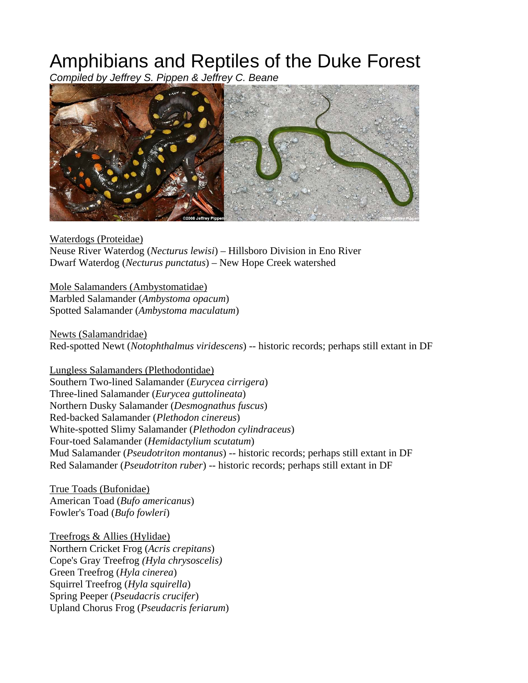## Amphibians and Reptiles of the Duke Forest

*Compiled by Jeffrey S. Pippen & Jeffrey C. Beane* 



Waterdogs (Proteidae) Neuse River Waterdog (*Necturus lewisi*) – Hillsboro Division in Eno River Dwarf Waterdog (*Necturus punctatus*) – New Hope Creek watershed

Mole Salamanders (Ambystomatidae) Marbled Salamander (*Ambystoma opacum*) Spotted Salamander (*Ambystoma maculatum*)

Newts (Salamandridae) Red-spotted Newt (*Notophthalmus viridescens*) -- historic records; perhaps still extant in DF

Lungless Salamanders (Plethodontidae) Southern Two-lined Salamander (*Eurycea cirrigera*) Three-lined Salamander (*Eurycea guttolineata*) Northern Dusky Salamander (*Desmognathus fuscus*) Red-backed Salamander (*Plethodon cinereus*) White-spotted Slimy Salamander (*Plethodon cylindraceus*) Four-toed Salamander (*Hemidactylium scutatum*) Mud Salamander (*Pseudotriton montanus*) -- historic records; perhaps still extant in DF Red Salamander (*Pseudotriton ruber*) -- historic records; perhaps still extant in DF

True Toads (Bufonidae) American Toad (*Bufo americanus*) Fowler's Toad (*Bufo fowleri*)

Treefrogs & Allies (Hylidae) Northern Cricket Frog (*Acris crepitans*) Cope's Gray Treefrog *(Hyla chrysoscelis)* Green Treefrog (*Hyla cinerea*) Squirrel Treefrog (*Hyla squirella*) Spring Peeper (*Pseudacris crucifer*) Upland Chorus Frog (*Pseudacris feriarum*)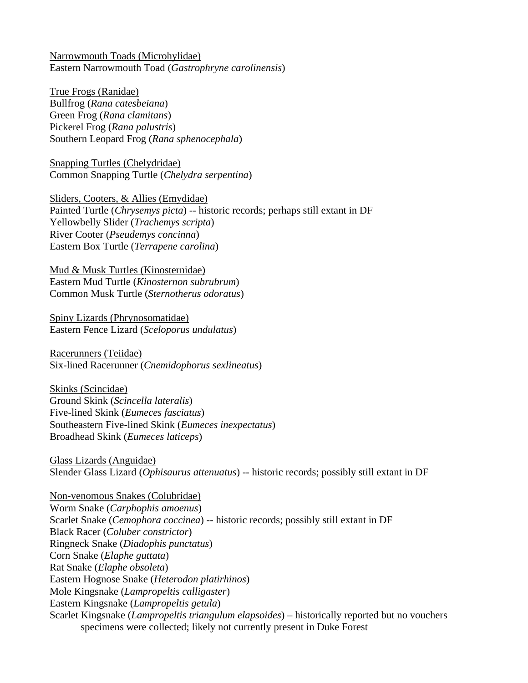Narrowmouth Toads (Microhylidae) Eastern Narrowmouth Toad (*Gastrophryne carolinensis*)

True Frogs (Ranidae) Bullfrog (*Rana catesbeiana*) Green Frog (*Rana clamitans*) Pickerel Frog (*Rana palustris*) Southern Leopard Frog (*Rana sphenocephala*)

Snapping Turtles (Chelydridae) Common Snapping Turtle (*Chelydra serpentina*)

Sliders, Cooters, & Allies (Emydidae) Painted Turtle (*Chrysemys picta*) -- historic records; perhaps still extant in DF Yellowbelly Slider (*Trachemys scripta*) River Cooter (*Pseudemys concinna*) Eastern Box Turtle (*Terrapene carolina*)

Mud & Musk Turtles (Kinosternidae) Eastern Mud Turtle (*Kinosternon subrubrum*) Common Musk Turtle (*Sternotherus odoratus*)

Spiny Lizards (Phrynosomatidae) Eastern Fence Lizard (*Sceloporus undulatus*)

Racerunners (Teiidae) Six-lined Racerunner (*Cnemidophorus sexlineatus*)

Skinks (Scincidae) Ground Skink (*Scincella lateralis*) Five-lined Skink (*Eumeces fasciatus*) Southeastern Five-lined Skink (*Eumeces inexpectatus*) Broadhead Skink (*Eumeces laticeps*)

Glass Lizards (Anguidae) Slender Glass Lizard (*Ophisaurus attenuatus*) -- historic records; possibly still extant in DF

Non-venomous Snakes (Colubridae) Worm Snake (*Carphophis amoenus*) Scarlet Snake (*Cemophora coccinea*) -- historic records; possibly still extant in DF Black Racer (*Coluber constrictor*) Ringneck Snake (*Diadophis punctatus*) Corn Snake (*Elaphe guttata*) Rat Snake (*Elaphe obsoleta*) Eastern Hognose Snake (*Heterodon platirhinos*) Mole Kingsnake (*Lampropeltis calligaster*) Eastern Kingsnake (*Lampropeltis getula*) Scarlet Kingsnake (*Lampropeltis triangulum elapsoides*) – historically reported but no vouchers specimens were collected; likely not currently present in Duke Forest